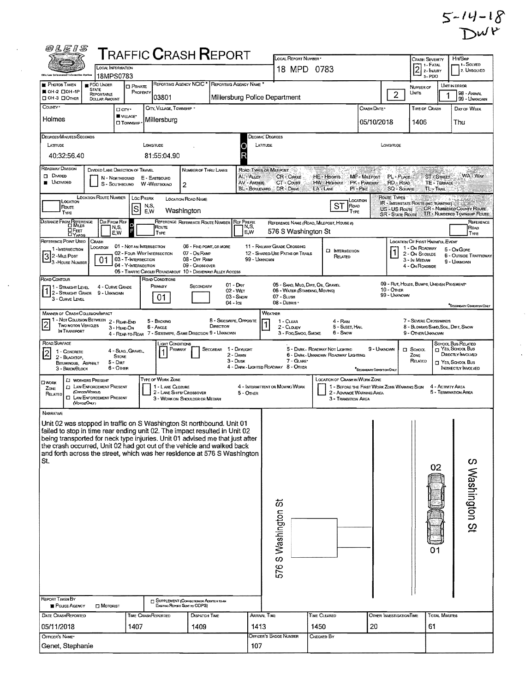|                    | $5 - 14 - 18$ |
|--------------------|---------------|
| $D^{\mathcal{W}P}$ |               |

 $\hat{\mathcal{A}}$ 

 $\frac{1}{\sqrt{2}}$ 

| 0LE1S                                                                                                                                                  |                                                                      |                                                                          |                           |                                              | <b>TRAFFIC CRASH REPORT</b>                                 |                                      |                                               |                                                                                  |                |                                                                               |                                                         |                                                                         |                                                                                  |                                             |                                                                      |
|--------------------------------------------------------------------------------------------------------------------------------------------------------|----------------------------------------------------------------------|--------------------------------------------------------------------------|---------------------------|----------------------------------------------|-------------------------------------------------------------|--------------------------------------|-----------------------------------------------|----------------------------------------------------------------------------------|----------------|-------------------------------------------------------------------------------|---------------------------------------------------------|-------------------------------------------------------------------------|----------------------------------------------------------------------------------|---------------------------------------------|----------------------------------------------------------------------|
|                                                                                                                                                        |                                                                      | LOCAL REPORT NUMBER *<br><b>LOCAL INFORMATION</b><br>18 MPD 0783         |                           |                                              |                                                             |                                      |                                               |                                                                                  | CRASH SEVERITY | 1 - FATAL<br>2 - INJURY                                                       | Hit/Skip<br>1 - SOLVED<br>2. UNSOLVED                   |                                                                         |                                                                                  |                                             |                                                                      |
| ihle Lew Enforcement Intexantina Apriam<br><b>PHOTOS TAKEN</b>                                                                                         | PDO UNDER                                                            | 18MPS0783<br><b>O</b> PRIVATE                                            |                           |                                              |                                                             |                                      | REPORTING AGENCY NCIC * REPORTING AGENCY NAME |                                                                                  |                |                                                                               |                                                         |                                                                         | 3-PDO<br>NUMBER OF                                                               |                                             | UNIT IN ERROR                                                        |
| ■ 0H-2 □ 0H-1P<br>ПОН-3 ПОтнен                                                                                                                         | <b>STATE</b><br>REPORTABLE<br><b>DOLLAR AMOUNT</b>                   |                                                                          | PROPERTY                  | 03801                                        |                                                             |                                      |                                               | Millersburg Police Department                                                    |                |                                                                               |                                                         | $\overline{2}$                                                          | <b>UNITS</b>                                                                     |                                             | 98 - ANIMAL<br>99 - UNKNOWN                                          |
| Countr <sup>*</sup>                                                                                                                                    |                                                                      | D CITY*<br>VILLAGE*                                                      |                           | CITY, VILLAGE, TOWNSHIP *                    |                                                             |                                      |                                               |                                                                                  |                |                                                                               | CRASH DATE*                                             |                                                                         | TIME OF CRASH                                                                    |                                             | DAY OF WEEK                                                          |
| Holmes<br>Millersburg<br>05/10/2018<br><b>CI TOWNSHIP</b>                                                                                              |                                                                      |                                                                          |                           |                                              |                                                             |                                      |                                               | 1406                                                                             |                | Thu                                                                           |                                                         |                                                                         |                                                                                  |                                             |                                                                      |
| DEGREES/MINUTES/SECONDS                                                                                                                                |                                                                      |                                                                          |                           |                                              |                                                             |                                      |                                               | DECIMAL' DEGREES                                                                 |                |                                                                               |                                                         |                                                                         |                                                                                  |                                             |                                                                      |
| <b>LATITUDE</b><br>40:32:56.40                                                                                                                         |                                                                      |                                                                          | LONGITUDE                 | 81:55:04.90                                  |                                                             |                                      |                                               | LATITUDE                                                                         |                |                                                                               |                                                         | LONGITUDE                                                               |                                                                                  |                                             |                                                                      |
| <b>ROADWAY DIVISION</b>                                                                                                                                | DIVIDED LANE DIRECTION OF TRAVEL                                     |                                                                          |                           |                                              | <b>NUMBER OF THRU LANES</b>                                 |                                      |                                               | ROAD TYPES OR MILEPOST                                                           |                |                                                                               |                                                         |                                                                         |                                                                                  |                                             |                                                                      |
| $\Box$ Divided<br><b>B</b> UNDIVIDED                                                                                                                   |                                                                      | N - Northbound<br>S - SOUTHBOUND                                         |                           | E - EASTBOUND<br><b>W</b> Westbound          | 2                                                           |                                      | AL - ALLEY<br>AV - Avenue                     | <b>CR-CIRCLE</b><br>CT - Court<br>BL - BOULEVARD DR - DRIVE                      | LA - LANE      | $HE - HeicATE$<br>HW-HIGHWAY                                                  | MP - MILEPOST<br>PK - PARKWAY<br>$PI - P$ <sub>KE</sub> | PL - PLACE<br>RD - ROAD<br><b>SQ - SQUARE</b>                           |                                                                                  | ST-Smeet<br><b>TE - TERRACE</b><br>TL-TRAIL | WA-Way                                                               |
| LOCATION<br>ROUTE                                                                                                                                      | <b>LOCATION ROUTE NUMBER</b>                                         | S                                                                        | <b>LOC PREFIX</b><br>N.S. |                                              | <b>LOCATION ROAD NAME</b>                                   |                                      |                                               |                                                                                  |                | ST<br>ROAD                                                                    | Location                                                | ROUTE TYPES<br>IR - INTERSTATE ROUTE (INC. TURNPIKE)                    |                                                                                  |                                             | US - US ROUTE CR - NUMBERED COUNTY ROUTE                             |
| TYPE<br>DISTANCE FROM REFERENCE                                                                                                                        | DIR FROM REF                                                         |                                                                          | E.W                       |                                              | Washington<br>REFERENCE REFERENCE ROUTE NUMBER REF PREFIX   |                                      |                                               | REFERENCE NAME (ROAD, MILEPOST, HOUSE #)                                         |                | TYPE                                                                          |                                                         |                                                                         |                                                                                  |                                             | SR - STATE ROUTE TR . NUMBERED TOWNSHIP ROUTE<br>REFERENCE           |
| 口 Ғеет<br><b>DYARDS</b>                                                                                                                                |                                                                      | N,S,<br>E,W                                                              |                           | Route<br><b>TYPE</b>                         |                                                             |                                      | N,S,<br>E,W                                   | 576 S Washington St                                                              |                |                                                                               |                                                         |                                                                         |                                                                                  |                                             | ROAD<br>TYPE                                                         |
| REFERENCE POINT USED<br>1 - INTERSECTION                                                                                                               | CRASH<br>LOCATION                                                    | 01 - NOT AN INTERSECTION                                                 |                           |                                              | 06 - FIVE-POINT, OR MORE                                    |                                      |                                               | 11 - RAILWAY GRADE CROSSING                                                      |                | <b>El INTERSECTION</b>                                                        |                                                         |                                                                         | <b>LOCATION OF FIRST HARMFUL EVENT</b><br>1 - On ROADWAY                         |                                             | 5 - On Gore                                                          |
| 2 - MILE POST<br>3 - House Number                                                                                                                      | 01                                                                   | 02 - FOUR-WAY INTERSECTION<br>03 - T-INTERSECTION<br>04 - Y-INTERSECTION |                           |                                              | 07 - ON RAMP<br>08 - Off Ramp<br>09 - Crossover             |                                      | 99 - Unknown                                  | 12 - SHARED-USE PATHS OR TRAILS                                                  |                | RELATED                                                                       |                                                         |                                                                         | 2 - ON SHOULDE<br>3 - In Median<br>4 - ON ROADSIDE                               |                                             | 6 - OUTSIDE TRAFFICWAY<br>9 - UMKNOWN                                |
| ROAD CONTOUR                                                                                                                                           |                                                                      |                                                                          |                           | ROAD CONDITIONS                              | 05 - TRAFFIC CIRCLE/ ROUNDABOUT 10 - DRIVEWAY/ ALLEY ACCESS |                                      |                                               |                                                                                  |                |                                                                               |                                                         |                                                                         |                                                                                  |                                             |                                                                      |
| 11 - Straight Level<br>2 - STRAIGHT GRADE<br>3 - CURVE LEVEL                                                                                           | 9 - Unknown                                                          | 4 - CURVE GRADE                                                          |                           | Primary<br>01                                | SECONDARY                                                   |                                      | $01 - Draw$<br>02 - Wer<br>03 - Snow          | 05 - SAND, MUD, DIRT, OIL, GRAVEL<br>06 - WATER (STANDING, MOVING)<br>07 - SLUSH |                |                                                                               |                                                         | 09 - RUT, HOLES, BUMPS, UNEVEN PAVEMENT<br>$10 -$ Other<br>99 - UNKNOWN |                                                                                  |                                             |                                                                      |
| <b>MANNER OF CRASH COLLISION/IMPACT</b>                                                                                                                |                                                                      |                                                                          |                           |                                              |                                                             |                                      | $04 - i$ ce                                   | $08 -$ DEBRIS<br>WEATHER                                                         |                |                                                                               |                                                         |                                                                         |                                                                                  |                                             | <sup>*</sup> SECONDARY CONDITION CINLY                               |
| 1 - Not Collision Between 2 - Rear-End<br>$\overline{2}$<br>Two motor Vehicles<br>IN TRANSPORT                                                         |                                                                      | 3 - HEAD-ON<br>4 - REAR-TO-REAR                                          |                           | 5 - BACKING<br>6 - Angle                     | 7 - SIDESWIPE, -SAME DIRECTION 9 - UNKNOWN                  | 8 - Sideswipe, Opposite<br>DIRECTION |                                               | 1 - Clear<br>2 - CLOUDY<br>3 - Fog, Smog, Smoke                                  |                | 4 - Ran<br>5 - SLEET, HAIL<br>6 - Snow                                        |                                                         |                                                                         | 7 - SEVERE CROSSWINDS<br>8 - BLOWING SAND, SOIL, DIRT, SNOW<br>9 - OTHER/UNKNOWN |                                             |                                                                      |
| ROAD, SURFACE<br>1 - CONCRETE                                                                                                                          |                                                                      | 4 - Slag, Gravel                                                         |                           | Light Conditions<br>PRIMARY                  |                                                             | SECONDAR                             | 1 - Dayught                                   |                                                                                  |                | 5 - DARK - ROADWAY NOT LIGHTED                                                | 9 - UNKNOWN                                             |                                                                         | <b>CI</b> SCHOOL                                                                 |                                             | SCHOOL BUS RELATED<br>Nes, School Bus                                |
| 2<br>2 - BLACKTOP,<br>BITUMINOUS, ASPHALT<br>3 - BRICK/BLOCK                                                                                           |                                                                      | <b>STONE</b><br>$5 -$ Din $T$<br>6 - Onen                                |                           |                                              |                                                             |                                      | 2 - Davni<br>$3 - D$ USK                      | 7 - GLARE*<br>4 - DARK - LIGHTED ROADWAY 8 - OTHER                               |                | 6 - DARK - UNKNOWN ROADWAY LIGHTING                                           | SECONDARY CONSTION ONLY                                 |                                                                         | ZONE<br>RELATED                                                                  |                                             | DIRECTLY INVOLVED<br>T YES, SCHOOL BUS<br><b>INDIRECTLY INVOLVED</b> |
| <b>DWORK</b><br>ZONE                                                                                                                                   | <b>CI WORKERS PRESENT</b><br><b>CI LAW ENFORCEMENT PRESENT</b>       |                                                                          |                           | <b>TYPE OF WORK ZONE</b><br>1 - LANE CLOSURE |                                                             |                                      |                                               | 4 - INTERMITTENT OR MOVING WORK                                                  |                | LOCATION OF CRASH IN WORK ZONE<br>1 - BEFORE THE FIRST WORK ZONE WARMING SIGN |                                                         |                                                                         |                                                                                  | 4 - ACTIVITY AREA                           |                                                                      |
| RELATED                                                                                                                                                | (Ornoss/Vencie)<br><b>CI LAW ENFORCEMENT PRESENT</b><br>(VONCLEONLY) |                                                                          |                           |                                              | 2 - LANE SHIFT/ CROSSOVER<br>3 - WORK ON SHOULDER OR MEDIAN |                                      | 5 - OTHER                                     |                                                                                  |                | 2 - ADVANCE WARNING AREA<br>3 - TRANSITION AREA                               |                                                         |                                                                         |                                                                                  |                                             | 5 - TERMINATION AREA                                                 |
| NARRATIVE                                                                                                                                              |                                                                      |                                                                          |                           |                                              |                                                             |                                      |                                               |                                                                                  |                |                                                                               |                                                         |                                                                         |                                                                                  |                                             |                                                                      |
| Unit 02 was stopped in traffic on S Washington St northbound. Unit 01<br>failed to stop in time rear ending unit 02. The impact resulted in Unit 02    |                                                                      |                                                                          |                           |                                              |                                                             |                                      |                                               |                                                                                  |                |                                                                               |                                                         |                                                                         |                                                                                  |                                             |                                                                      |
| being transported for neck type injuries. Unit 01 advised me that just after<br>the crash occurred, Unit 02 had got out of the vehicle and walked back |                                                                      |                                                                          |                           |                                              |                                                             |                                      |                                               |                                                                                  |                |                                                                               |                                                         |                                                                         |                                                                                  |                                             |                                                                      |
| and forth across the street, which was her residence at 576 S Washington<br>St.                                                                        |                                                                      |                                                                          |                           |                                              |                                                             |                                      |                                               |                                                                                  |                |                                                                               |                                                         |                                                                         |                                                                                  |                                             |                                                                      |
|                                                                                                                                                        |                                                                      |                                                                          |                           |                                              |                                                             |                                      |                                               |                                                                                  |                |                                                                               |                                                         |                                                                         |                                                                                  | 02                                          | S Washington St                                                      |
|                                                                                                                                                        |                                                                      |                                                                          |                           |                                              |                                                             |                                      |                                               |                                                                                  |                |                                                                               |                                                         |                                                                         |                                                                                  |                                             |                                                                      |
|                                                                                                                                                        |                                                                      |                                                                          |                           |                                              |                                                             |                                      |                                               |                                                                                  |                |                                                                               |                                                         |                                                                         |                                                                                  |                                             |                                                                      |
|                                                                                                                                                        |                                                                      |                                                                          |                           |                                              |                                                             |                                      |                                               |                                                                                  |                |                                                                               |                                                         |                                                                         |                                                                                  |                                             |                                                                      |
|                                                                                                                                                        |                                                                      |                                                                          |                           |                                              |                                                             |                                      |                                               |                                                                                  |                |                                                                               |                                                         |                                                                         |                                                                                  |                                             |                                                                      |
|                                                                                                                                                        |                                                                      |                                                                          |                           |                                              |                                                             |                                      |                                               |                                                                                  |                |                                                                               |                                                         |                                                                         |                                                                                  |                                             |                                                                      |
|                                                                                                                                                        |                                                                      |                                                                          |                           |                                              |                                                             |                                      |                                               | 576 S Washington St                                                              |                |                                                                               |                                                         |                                                                         |                                                                                  |                                             |                                                                      |
|                                                                                                                                                        |                                                                      |                                                                          |                           |                                              |                                                             |                                      |                                               |                                                                                  |                |                                                                               |                                                         |                                                                         |                                                                                  |                                             |                                                                      |
|                                                                                                                                                        |                                                                      |                                                                          |                           |                                              |                                                             |                                      |                                               |                                                                                  |                |                                                                               |                                                         |                                                                         |                                                                                  |                                             |                                                                      |
| <b>REPORT TAKEN BY</b>                                                                                                                                 |                                                                      |                                                                          |                           |                                              | <b>T SUPPLEMENT (CORRECTION OR ADDITION TO AN</b>           |                                      |                                               |                                                                                  |                |                                                                               |                                                         |                                                                         |                                                                                  |                                             |                                                                      |
| POLICE AGENCY<br><b>DATE CRASHREPORTED</b>                                                                                                             | MOTORIST                                                             |                                                                          |                           | <b>TIME CRASHREPORTED</b>                    | Existiva Report Sent to ODPS)<br><b>DISPATCH TIME</b>       |                                      |                                               | ARRIVAL TIME                                                                     | TIME CLEARED   |                                                                               |                                                         | OTHER INVESTIGATION TIME                                                |                                                                                  | <b>TOTAL MINUTES</b>                        |                                                                      |
| 05/11/2018                                                                                                                                             |                                                                      | 1407                                                                     |                           |                                              | 1409                                                        |                                      | 1413                                          |                                                                                  | 1450           |                                                                               | 20                                                      |                                                                         |                                                                                  | 61                                          |                                                                      |
| OFFICER'S NAME*<br>Genet, Stephanie                                                                                                                    |                                                                      |                                                                          |                           |                                              |                                                             |                                      |                                               | OFFICER'S BADGE NUMBER                                                           | CHECKED BY     |                                                                               |                                                         |                                                                         |                                                                                  |                                             |                                                                      |
|                                                                                                                                                        |                                                                      |                                                                          |                           |                                              |                                                             |                                      | 107                                           |                                                                                  |                |                                                                               |                                                         |                                                                         |                                                                                  |                                             |                                                                      |

 $\overline{1}$ 

 $\sim$   $\sim$ 

 $\bar{\beta}$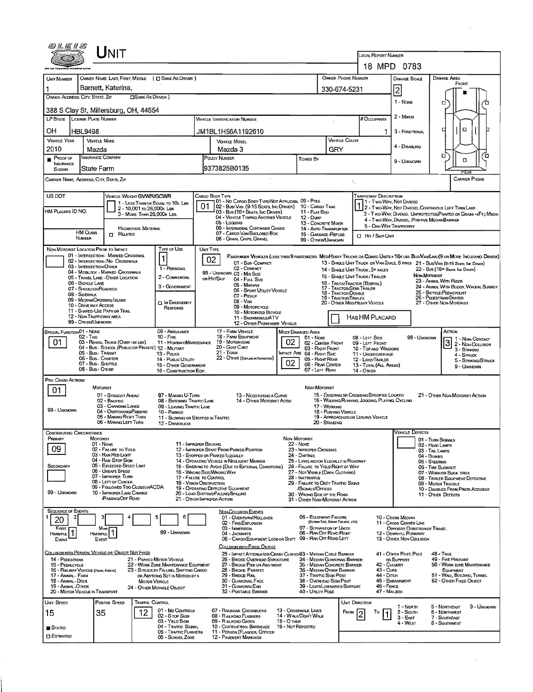| 0 L E I S                                                             |                                                | JNIT                                                                  |                                                          |                                                                                |                  |                                                                                                 |                              |                                                                       |               |                                                    |                                                                      |                                                      |                                                                                                                              |
|-----------------------------------------------------------------------|------------------------------------------------|-----------------------------------------------------------------------|----------------------------------------------------------|--------------------------------------------------------------------------------|------------------|-------------------------------------------------------------------------------------------------|------------------------------|-----------------------------------------------------------------------|---------------|----------------------------------------------------|----------------------------------------------------------------------|------------------------------------------------------|------------------------------------------------------------------------------------------------------------------------------|
|                                                                       |                                                |                                                                       |                                                          |                                                                                |                  |                                                                                                 |                              |                                                                       |               |                                                    | <b>LOCAL REPORT NUMBER</b>                                           |                                                      |                                                                                                                              |
|                                                                       |                                                |                                                                       |                                                          |                                                                                |                  |                                                                                                 |                              |                                                                       |               |                                                    |                                                                      | 18 MPD 0783                                          |                                                                                                                              |
| UNIT NUMBER                                                           |                                                |                                                                       |                                                          | OWNER NAME: LAST FIRST, MIDDLE ( C SAME AS DRIVER )                            |                  |                                                                                                 |                              |                                                                       |               | <b>OWNER PHONE NUMBER</b>                          |                                                                      | <b>DAMAGE SCALE</b>                                  | <b>DAMAGE AREA</b><br>FRONT                                                                                                  |
| OWNER ADDRESS: CITY, STATE, ZIP                                       |                                                | Barnett, Katerina,                                                    | <b>CISAME AS DRIVER</b> )                                |                                                                                |                  |                                                                                                 |                              |                                                                       | 330-674-5231  |                                                    |                                                                      | 2                                                    |                                                                                                                              |
|                                                                       |                                                |                                                                       |                                                          |                                                                                |                  |                                                                                                 |                              |                                                                       |               |                                                    |                                                                      | 1 - NONE                                             | O                                                                                                                            |
| 388 S Clay St, Millersburg, OH, 44654                                 |                                                |                                                                       |                                                          |                                                                                |                  |                                                                                                 |                              |                                                                       |               |                                                    |                                                                      | 2 - Minor                                            |                                                                                                                              |
| LP STATE LICENSE PLATE NUMBER                                         |                                                |                                                                       |                                                          |                                                                                |                  | <b>VEHICLE IDENTIFICATION NUMBER</b>                                                            |                              |                                                                       |               |                                                    | # Occupants                                                          |                                                      |                                                                                                                              |
| OН                                                                    | <b>HBL9498</b>                                 |                                                                       |                                                          |                                                                                |                  | JM1BL1H56A1192610                                                                               |                              |                                                                       |               |                                                    | 1.                                                                   | 3 - FUNCTIONAL                                       | o<br>□                                                                                                                       |
| <b>VEHICLE YEAR</b><br>2010                                           | <b>VEHICLE MAKE</b><br>Mazda                   |                                                                       |                                                          |                                                                                |                  | <b>VEHICLE MODEL</b><br>Mazda 3                                                                 |                              |                                                                       | GRY           | VEHICLE COLOR                                      |                                                                      | 4 - DISABLING                                        |                                                                                                                              |
| $P$ ROOF OF                                                           | INSURANCE COMPANY                              |                                                                       |                                                          |                                                                                |                  | POLICY NUMBER                                                                                   |                              | Towed By                                                              |               |                                                    |                                                                      |                                                      | б<br>ō<br>п                                                                                                                  |
| <b>INSURANCE</b><br>SHOWN                                             | State Farm                                     |                                                                       |                                                          |                                                                                |                  | l9373825B0135                                                                                   |                              |                                                                       |               |                                                    |                                                                      | 9 - UNKNOWN                                          | <b>FIFAR</b>                                                                                                                 |
| CARRIER NAME, ADDRESS, CITY, STATE, ZIP                               |                                                |                                                                       |                                                          |                                                                                |                  |                                                                                                 |                              |                                                                       |               |                                                    |                                                                      |                                                      | <b>CARRIER PHONE</b>                                                                                                         |
|                                                                       |                                                |                                                                       |                                                          |                                                                                |                  |                                                                                                 |                              |                                                                       |               |                                                    |                                                                      |                                                      |                                                                                                                              |
| US DOT                                                                |                                                | VEHICLE WEIGHT GWWR/GCWR                                              |                                                          | 1 - LESS THAN OR EQUAL TO 10K LBS                                              |                  | CARGO BODY TYPE<br>01 - No CARGO BODY TYPE/NOT APPLICABL 09 - POLE                              |                              |                                                                       |               |                                                    | Trafficway Description                                               | 1 - Two-Way, Not Divided                             |                                                                                                                              |
| HM Placard ID NO.                                                     |                                                |                                                                       | 2 - 10,001 to 26,000 k Las<br>3 - MORE THAN 26,000K LBS. |                                                                                | 01               | 02 - Bus/Van (9-15 Seats, Inc Driver) 10 - Cargo Tank<br>03 - Bus (16+ Seats, Inc Driver)       |                              | 11 - FLAT BED                                                         |               |                                                    |                                                                      |                                                      | 1 2 - T WO-WAY, NOT DIVIDED, CONTINUOUS LEFT TURN LANE<br>3 - Two-Way, Divideo, UNPROTECTED (PAINTED OR GRASS >4FT.) MEDIA   |
|                                                                       |                                                |                                                                       |                                                          |                                                                                |                  | 04 - VEHICLE TOWING ANOTHER VEHICLE<br>05 - Locaing                                             |                              | 12 - Dunn<br>13 - CONCRETE MIXER                                      |               |                                                    | 5 - ONE-WAY TRAFFICWAY                                               |                                                      | 4 - Two-Way, Divided, Positive Median Barrier                                                                                |
|                                                                       | <b>HM CLASS</b>                                | RELATED<br>Ω.                                                         | <b>HAZARDOUS MATERIAL</b>                                |                                                                                |                  | 06 - INTERMODAL CONTAINER CHASIS<br>07 - CARGO VAN ENCLOSED BOX                                 |                              | 14 - AUTO TRANSPORTER<br>15 - GARBAGE /REFUSE                         |               |                                                    | <b>CI HIT / SKIP UNIT</b>                                            |                                                      |                                                                                                                              |
|                                                                       | Number                                         |                                                                       |                                                          |                                                                                |                  | 08 - GRAIN, CHIPS, GRAVEL                                                                       |                              | 99 - OTHER/UNKNOWN                                                    |               |                                                    |                                                                      |                                                      |                                                                                                                              |
| NON-MOTORIST LOCATION PRIOR TO IMPACT                                 |                                                | 01 - INTERSECTION - MARKED CROSSWAL                                   |                                                          | Type or Use                                                                    | <b>UNIT TYPE</b> |                                                                                                 |                              |                                                                       |               |                                                    |                                                                      |                                                      | PASSENGER VEHICLES (LESS THAN 9 PASSENGERS MEDIMEAVY TRUCKS OR COMBO UNITS > 10K LBS BUS/VAN/LMO(9 OR MORE INCLUDING DRIVER) |
|                                                                       | 03 - INTERSECTION OTHER                        | 02 - INTERSECTION - NO CROSSWALK                                      |                                                          | 1 - PERSONAL                                                                   |                  | 02<br>01 - Sub-Compact<br>02 - COMPACT                                                          |                              |                                                                       |               |                                                    |                                                                      |                                                      | 13 - SINGLE UNIT TRUCK OR VAN 2AXLE, 6 TIRES 21 - BUS/VAN (9-15 SEATS, INC DRIVER)                                           |
|                                                                       |                                                | 04 - MIDBLOCK - MARKED CROSSWALK<br>05 - Travel Lane - Other Location |                                                          | 2 - COMMERCIAL                                                                 |                  | 99 - UNKNOWN 03 - MID SIZE<br>OR HIT/SKIP                                                       |                              |                                                                       |               |                                                    | 14 - SINGLE UNIT TRUCK: 3+ AXLES<br>15 - SINGLE UNIT TRUCK / TRAILER |                                                      | 22 - Bus (16+ Seats, Inc Driver)<br>NON MOTORIST                                                                             |
|                                                                       | 06 - BICYCLE LANE<br>07 - Shoulder/Roadside    |                                                                       |                                                          | 3 - GOVERNMENT                                                                 |                  | 04 - Full Size<br>05 - MINIVAN                                                                  |                              |                                                                       |               | 17 - Tractor/Sem-Traler                            | 16 - TRUCK/TRACTOR (BOBTAIL)                                         |                                                      | 23 - ANIMAL WITH RIDER<br>24 - ANIMAL WITH BUGGY, WAGON, SURREY                                                              |
|                                                                       | 08 - Sidewalk<br>09 - MEDIAN/CROSSING ISLAND   |                                                                       |                                                          |                                                                                |                  | 06 - SPORT UTILITY VEHICLE<br>07 - PICKUP                                                       |                              |                                                                       |               | 18 - TRACTOR/DOUBLE<br><b>19 - TRACTOR/TRIPLES</b> |                                                                      |                                                      | 25 - BICYCLE/PEDACYCLIST<br>26 - Pedestrian/Skater                                                                           |
|                                                                       | 10 - Drive way Access                          | 11 - SHARED-USE PATH OR TRAIL                                         |                                                          | <b>D IN EMERGENCY</b><br>RESPONSE                                              |                  | $08 - V_{AN}$<br>09 - MOTORCYCLE                                                                |                              |                                                                       |               |                                                    | 20 - Other Med/Heavy Vehicle                                         |                                                      | 27 - OTHER NON-MOTORIST                                                                                                      |
|                                                                       | 12 - NON-TRAFFICWAY AREA<br>99 - OTHER/UNKNOWN |                                                                       |                                                          |                                                                                |                  | 10 - MOTORIZED BICYCLE<br>11 - SNOVMOBILE/ATV                                                   |                              |                                                                       |               |                                                    | HASHM PLACARD                                                        |                                                      |                                                                                                                              |
| SPECIAL FUNCTION01 - NONE                                             |                                                |                                                                       |                                                          | 09 - AMBULANCE                                                                 |                  | 17 - FARM VEHICLE                                                                               | 12 - OTHER PASSENGER VEHICLE | MOST DAMAGED AREA                                                     |               |                                                    |                                                                      |                                                      | Астом                                                                                                                        |
| 01                                                                    | 02 - TAXI                                      | 03 - RENTAL TRUCK (OVER 10K LBS)                                      |                                                          | $10 -$ Fire<br>11 - HIGHWAY/MAINTENANCE                                        |                  | 18 - FARM EQUIPMENT<br>19 - Мотокноме                                                           | 02                           | 01 - NOME<br>02 - CENTER FRONT                                        |               |                                                    | 08 - LEFT SIDE<br>09 - LEFT FRONT                                    | 99 - UNKNOWN                                         | 1 - Non-Contact<br>3 2- Non-Collision                                                                                        |
|                                                                       | 05 - Bus - TRANSIT                             |                                                                       |                                                          | 04 - Bus - SCHOOL (PUBLIC OR PRIVATE) 12 - MILITARY<br>13 - Pouce              |                  | 20 - Golf Cart<br>21 - TRAIN                                                                    |                              | 03 - RIGHT FRONT<br>MPACT ARE 04 - RIGHT SIDE                         |               |                                                    | 10 - TOP AND WINDOWS<br>11 - UNDERCARRIAGE                           |                                                      | 3 - STRIKING                                                                                                                 |
|                                                                       | 06 - Bus - Charter<br>07 - Bus - SHUTTLE       |                                                                       |                                                          | 14 - Pusuc UTILITY<br><b>15 - OTHER GOVERNMENT</b>                             |                  | 22 - OTHER (EXPLAN IN NARRATIVE)                                                                | 02                           | 05 - Right Rear<br>06 - REAR CENTER                                   |               |                                                    | 12 - LOAD/TRAILER<br>13 - TOTAL (ALL AREAS)                          |                                                      | 4 - STRUCK<br>5 - STRIKING/STRUCK                                                                                            |
|                                                                       | 08 - Bus - OTHER                               |                                                                       |                                                          | 16 - CONSTRUCTION EQIP.                                                        |                  |                                                                                                 |                              | 07 - LEFT REAR                                                        |               |                                                    | <b>14 - OTHER</b>                                                    |                                                      | 9 - UNKNOWN                                                                                                                  |
| PRE- CRASH ACTIONS                                                    | MOTORIST                                       |                                                                       |                                                          |                                                                                |                  |                                                                                                 |                              | NON-MOTORIST                                                          |               |                                                    |                                                                      |                                                      |                                                                                                                              |
| 01                                                                    |                                                | 01 - STRAIGHT AHEAD                                                   |                                                          | 07 - MAKING U-TURN                                                             |                  | <b>13 - NEGOTIATING A CURVE</b>                                                                 |                              |                                                                       |               |                                                    | 15 - ENTERING OR CROSSING SPECIFIED LOCATIO                          |                                                      | 21 - Other Non-Motorist Action                                                                                               |
|                                                                       |                                                | 02 - BACKING<br>03 - CHANGING LANES                                   |                                                          | 08 - ENTERING TRAFFIC LANE<br>09 - LEAVING TRAFFIC LANE                        |                  |                                                                                                 | 14 - OTHER MOTORIST ACTIO    |                                                                       | 17 - WORKING  |                                                    | 16 - WALKING, RUNNING, JOGGING, PLAYING, CYCLING                     |                                                      |                                                                                                                              |
| 99 - UNKNOWN                                                          |                                                | 04 - OVERTAKING/PASSING<br>05 - MAKINO RIGHT TURN                     |                                                          | 10 - PARKED<br>11 - SLOWING OR STOPPED IN TRAFFIC                              |                  |                                                                                                 |                              |                                                                       |               | 18 - Pushing Vehicle                               | 19 - APPROACHING OR LEAVING VEHICLE                                  |                                                      |                                                                                                                              |
|                                                                       |                                                | 06 - MAKING LEFT TURN                                                 |                                                          | 12 - DRIVERLESS                                                                |                  |                                                                                                 |                              |                                                                       | 20 - STANDING |                                                    |                                                                      |                                                      |                                                                                                                              |
| CONTRIBUTING CIRCUMSTANCE<br>PRIMARY                                  | <b>MOTORIST</b>                                |                                                                       |                                                          |                                                                                |                  |                                                                                                 |                              | NON-MOTORIST                                                          |               |                                                    |                                                                      | <b>VEHICLE DEFECTS</b>                               | 01 - TURN SIGNALS                                                                                                            |
| 09                                                                    | 01 - NONE                                      | 02 - FAILURE TO YIELD                                                 |                                                          | 11 - IMPROPER BACKING                                                          |                  | 12 - IMPROPER START FROM PARKED POSITION                                                        |                              | 22 - None<br>23 - IMPROPER CROSSING                                   |               |                                                    |                                                                      |                                                      | 02 - HEAD LAMPS<br>03 - TAIL LAMPS                                                                                           |
|                                                                       |                                                | 03 - RAN RED LIGHT<br>04 - RAN STOP SIGN                              |                                                          |                                                                                |                  | 13 - Stopped or Parked ILLEGALLY<br>14 - OPERATING VEHICLE IN NEGLIGENT MANNER                  |                              | 24 - DARTING<br>25 - LYING AND/OR ILLEGALLY IN ROADWAY                |               |                                                    |                                                                      |                                                      | 04 - BRAKES<br>05 - STEERING                                                                                                 |
| <b>SECONDARY</b>                                                      |                                                | 05 - EXCEEDED SPEED LIMIT<br>06 - UNSAFE SPEED                        |                                                          |                                                                                |                  | 15 - Swering to Avoid (Due to External Conditions)<br>16 - WRONG SIDE ANRONG WAY                |                              | 26 - FALURE TO YIELD RIGHT OF WAY<br>27 - NOT VISIBLE (DARK CLOTHING) |               |                                                    |                                                                      |                                                      | 06 - TIRE BLOWOUT<br>07 - WORN OR SLICK TIRES                                                                                |
|                                                                       |                                                | 07 - IMPROPER TURN<br>08 - LEFT OF CENTER                             |                                                          | 17 - FALURE TO CONTROL<br><b>18 - Vision OBSTRUCTION</b>                       |                  |                                                                                                 |                              | 28 - INATTENTIVE<br>29 - FAILURE TO OBEY TRAFFIC SIGNS                |               |                                                    |                                                                      |                                                      | 08 - TRAILER EQUIPMENT DEFECTIVE<br>09 - MOTOR TROUBLE                                                                       |
| 99 - Unknown                                                          |                                                | 09 - FOLLOWED TOO CLOSELY/ACDA<br>10 - IMPROPER LANE CHANGE           |                                                          |                                                                                |                  | 19 - OPERATING DEFECTIVE EQUIPMENT<br>20 - LOAD SHEFTING/FALLING/SPILLING                       |                              | /SIGNALS/OFFICER<br>30 - WRONG SIDE OF THE ROAD                       |               |                                                    |                                                                      |                                                      | 10 - DISABLED FROM PRIOR ACCIDENT<br>11 - OTHER DEFECTS                                                                      |
|                                                                       |                                                | <b>PASSING OFF ROAD</b>                                               |                                                          |                                                                                |                  | 21 - Отнев Імряорея Астюм                                                                       |                              | 31 - OTHER NON-MOTORIST ACTION                                        |               |                                                    |                                                                      |                                                      |                                                                                                                              |
| <b>SEQUENCE OF EVENTS</b>                                             |                                                |                                                                       |                                                          | €                                                                              |                  | <b>NON-COLLISION EVENTS</b>                                                                     |                              |                                                                       |               |                                                    |                                                                      |                                                      |                                                                                                                              |
| 2<br>20                                                               |                                                |                                                                       |                                                          |                                                                                |                  | 01 - OVERTURN/ROLLOVER<br>02 - FIRE/EXPLOSION                                                   |                              | 06 - EQUIPMENT FAILURE                                                |               | (BLOWN TIRE, BRAKE FAILURE, ETC)                   |                                                                      | 10 - Cross Median<br>11 - Cross Center Line          |                                                                                                                              |
| FIRST<br>Harmful                                                      | Most<br><b>HARMFUL</b>                         |                                                                       |                                                          | 99 - UNKNOWN                                                                   |                  | 03 - IMMERSION<br>04 - JACKKNEFE                                                                |                              | 07 - SEPARATION OF UNITS<br>08 - RAN OFF ROAD RIGHT                   |               |                                                    |                                                                      | OPPOSITE DIRECTION OF TRAVEL<br>12 - DOWNELL RUNAWAY |                                                                                                                              |
| Event                                                                 | Event                                          |                                                                       |                                                          |                                                                                |                  | 05 - CARGO/EQUIPMENT LOSS OR SHIFT 09 - RAN OFF ROAD LEFT<br>COLLISION WITH FIXED, OBJECT       |                              |                                                                       |               |                                                    |                                                                      | 13 - OTHER NON-COLLISION                             |                                                                                                                              |
| COLLISION WITH PERSON, VEHICLE OR OBJECT NOT FIXED<br>14 - PEDESTRIAN |                                                |                                                                       |                                                          | 21 - PARKED MOTOR VEHICLE                                                      |                  | 25 - IMPACT ATTENUATOR/CRASH CUSHION33 - MEDIAN CABLE BARRIER<br>26 - BRIDGE OVERHEAD STRUCTURE |                              | 34 - MEDIAN GUARDRAIL BARRIER                                         |               |                                                    |                                                                      | 41 - OTHER POST, POLE<br>OR SUPPORT                  | <b>48 - TREE</b><br>49 - FIRE HYDRANT                                                                                        |
| 15 - PEDALCYCLE<br>16 - RAILWAY VEHICLE (TRAIN, EMBINE)               |                                                |                                                                       |                                                          | 22 - WORK ZONE MAINTENANCE EQUIPMENT<br>23 - STRUCK BY FALLING, SHIFTING CARGO |                  | 27 - BRIDGE PIER OR ABUTMENT<br>28 - BRIDGE PARAPET                                             |                              | 35 - MEDIAN CONCRETE BARRIER<br>36 - MEDIAN OTHER BARRIER             |               |                                                    | 42 - CULVERT<br>43 - CURB                                            |                                                      | <b>50 - WORK ZONE MAINTENANCE</b><br><b>EQUIPMENT</b>                                                                        |
| 17 - Animal - Farm<br>18 - Animal - Deer                              |                                                |                                                                       | <b>MOTOR VEHICLE</b>                                     | OR ANYTHING SET IN MOTION BY A                                                 |                  | 29 - BRIDGE RAIL<br>30 - GUARDRAIL FACE                                                         |                              | 37 - TRAFFIC SIGN POST<br>38 - Overhead Sign Post                     |               |                                                    | 44 - Олсн                                                            | 45 - EMBANKMENT                                      | 51 - WALL BUILDING, TUNNEL<br>52 - OTHER FIXED OBJECT                                                                        |
| 19 - ANIMAL-OTHER<br>20 - MOTOR VEHICLE IN TRANSPORT                  |                                                |                                                                       |                                                          | 24 - OTHER MOVABLE OBJECT                                                      |                  | 31 - GUARDRAILEND<br>32 - PORTABLE BARRIER                                                      |                              | 39 - LIGHTILUMINARIES SUPPORT<br>40 - Unury Pous                      |               |                                                    | 46 - FENCE<br>47 - MAILBOX                                           |                                                      |                                                                                                                              |
| UNIT SPEED                                                            |                                                | POSTED SPEED                                                          | TRAFFIC CONTROL                                          |                                                                                |                  |                                                                                                 |                              |                                                                       |               | UNIT DIRECTION                                     |                                                                      |                                                      |                                                                                                                              |
| 15                                                                    | 35                                             |                                                                       | 12                                                       | 01 - No CONTROLS                                                               |                  | 07 - RALROAD CROSSBUCKS                                                                         |                              | 13 - Crosswalk Lines                                                  |               | FROM                                               | To                                                                   | 1 - North<br>2 - Soumi                               | 9 - UNKNOWN<br>5 - Northeast<br><b>6 - NORTHWEST</b>                                                                         |
|                                                                       |                                                |                                                                       |                                                          | 02 - S TOP SIGN<br>03 - YIELD SIGN                                             |                  | 08 - RAILROAD FLASHERS<br>09 - RAILROAD GATES                                                   | 15 - Отнев                   | 14 - WALK/DON'T WALK                                                  |               |                                                    |                                                                      | $3 - EAST$<br>4 - WEST                               | 7 - SOUTHEAST<br>8 - Southwest                                                                                               |
| <b>S</b> TATED                                                        |                                                |                                                                       |                                                          | 04 - TRAFFIC SIGNAL<br>05 - TRAFFIC FLASHERS                                   |                  | 10 - COSTRUCTION BARRICADE<br>11 - PERSON (FLAGGER, OFFICER                                     |                              | 16 - Not Reported                                                     |               |                                                    |                                                                      |                                                      |                                                                                                                              |
| $\square$ Estimated                                                   |                                                |                                                                       |                                                          | 06 - SCHOOL ZONE                                                               |                  | <b>12 - PAVEMENT MARKINGS</b>                                                                   |                              |                                                                       |               |                                                    |                                                                      |                                                      |                                                                                                                              |

 $\sim 10^{-10}$ 

 $\hat{\mathcal{A}}$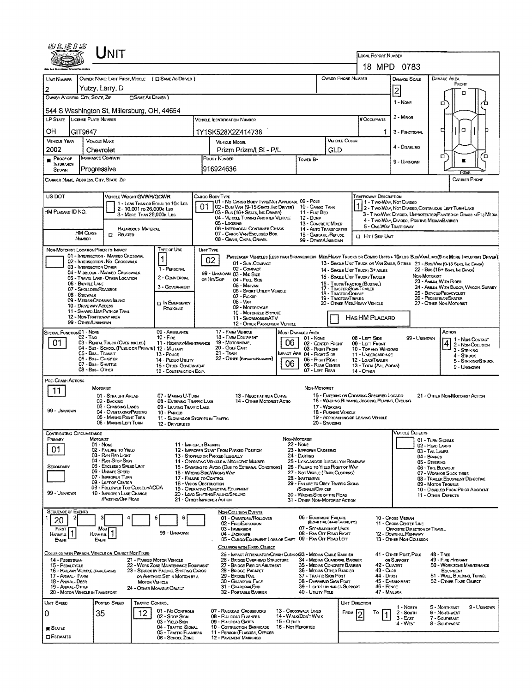| UNIT                                                                                                                                                                                                                                                                                                                                                                                                                                |                                                                                                                                                                                                                                                                                                                                                                                                              |                                                                                                                                                                                                                                                                                               |                                                                                                                                                                                                                                                                                                                      |                                                                                                                                 |                                                                                                                                                                                                                                                                                                                        |  |
|-------------------------------------------------------------------------------------------------------------------------------------------------------------------------------------------------------------------------------------------------------------------------------------------------------------------------------------------------------------------------------------------------------------------------------------|--------------------------------------------------------------------------------------------------------------------------------------------------------------------------------------------------------------------------------------------------------------------------------------------------------------------------------------------------------------------------------------------------------------|-----------------------------------------------------------------------------------------------------------------------------------------------------------------------------------------------------------------------------------------------------------------------------------------------|----------------------------------------------------------------------------------------------------------------------------------------------------------------------------------------------------------------------------------------------------------------------------------------------------------------------|---------------------------------------------------------------------------------------------------------------------------------|------------------------------------------------------------------------------------------------------------------------------------------------------------------------------------------------------------------------------------------------------------------------------------------------------------------------|--|
|                                                                                                                                                                                                                                                                                                                                                                                                                                     |                                                                                                                                                                                                                                                                                                                                                                                                              |                                                                                                                                                                                                                                                                                               | LOCAL REPORT NUMBER                                                                                                                                                                                                                                                                                                  | 18 MPD 0783                                                                                                                     |                                                                                                                                                                                                                                                                                                                        |  |
| OWNER NAME: LAST, FIRST, MIDDLE ( C) SAME AS DRIVER )<br>UNIT NUMBER                                                                                                                                                                                                                                                                                                                                                                |                                                                                                                                                                                                                                                                                                                                                                                                              |                                                                                                                                                                                                                                                                                               | OWNER PHONE NUMBER                                                                                                                                                                                                                                                                                                   | <b>DAMAGE SCALE</b>                                                                                                             | <b>DAMAGE AREA</b>                                                                                                                                                                                                                                                                                                     |  |
| Yutzy, Larry, D<br>2                                                                                                                                                                                                                                                                                                                                                                                                                |                                                                                                                                                                                                                                                                                                                                                                                                              |                                                                                                                                                                                                                                                                                               |                                                                                                                                                                                                                                                                                                                      | $\overline{2}$                                                                                                                  | FRONT                                                                                                                                                                                                                                                                                                                  |  |
| OWNER ADDRESS: CITY, STATE, ZIP<br><b>CISAME AS DRIVER</b> )                                                                                                                                                                                                                                                                                                                                                                        |                                                                                                                                                                                                                                                                                                                                                                                                              |                                                                                                                                                                                                                                                                                               |                                                                                                                                                                                                                                                                                                                      | 1 - NONE                                                                                                                        | □<br>O<br>ъ                                                                                                                                                                                                                                                                                                            |  |
| 544 S Washington St, Millersburg, OH, 44654                                                                                                                                                                                                                                                                                                                                                                                         |                                                                                                                                                                                                                                                                                                                                                                                                              |                                                                                                                                                                                                                                                                                               |                                                                                                                                                                                                                                                                                                                      | 2 - MINOR                                                                                                                       |                                                                                                                                                                                                                                                                                                                        |  |
| LP STATE<br>LICENSE PLATE NUMBER                                                                                                                                                                                                                                                                                                                                                                                                    | <b>VEHICLE IDENTIFICATION NUMBER</b>                                                                                                                                                                                                                                                                                                                                                                         |                                                                                                                                                                                                                                                                                               | # Occupants                                                                                                                                                                                                                                                                                                          |                                                                                                                                 | α<br>п                                                                                                                                                                                                                                                                                                                 |  |
| OН<br>GIT9647<br><b>VEHICLE YEAR</b><br><b>VEHICLE MAKE</b>                                                                                                                                                                                                                                                                                                                                                                         | 1Y1SK528X2Z414738<br><b>VEHICLE MODEL</b>                                                                                                                                                                                                                                                                                                                                                                    |                                                                                                                                                                                                                                                                                               | 1<br><b>VEHICLE COLOR</b>                                                                                                                                                                                                                                                                                            | 3 - FUNCTIONAL                                                                                                                  |                                                                                                                                                                                                                                                                                                                        |  |
| 2002<br>Chevrolet                                                                                                                                                                                                                                                                                                                                                                                                                   | Prizm Prizm/LSI - P/L                                                                                                                                                                                                                                                                                                                                                                                        |                                                                                                                                                                                                                                                                                               | GLD                                                                                                                                                                                                                                                                                                                  | 4 - DISABLING                                                                                                                   |                                                                                                                                                                                                                                                                                                                        |  |
| INSURANCE COMPANY<br>PROOF OF<br>INSURANCE<br>Progressive<br>SHOWN                                                                                                                                                                                                                                                                                                                                                                  | POUCY NUMBER<br>916924636                                                                                                                                                                                                                                                                                                                                                                                    | Towed By                                                                                                                                                                                                                                                                                      |                                                                                                                                                                                                                                                                                                                      | 9 - UNKNOWN                                                                                                                     | п<br>้อ                                                                                                                                                                                                                                                                                                                |  |
| CARRIER NAME, ADDRESS, CITY, STATE, ZIP                                                                                                                                                                                                                                                                                                                                                                                             |                                                                                                                                                                                                                                                                                                                                                                                                              |                                                                                                                                                                                                                                                                                               |                                                                                                                                                                                                                                                                                                                      |                                                                                                                                 | <b>CARRIER PHONE</b>                                                                                                                                                                                                                                                                                                   |  |
| US DOT<br>VEHICLE WEIGHT GWWFVGCWR                                                                                                                                                                                                                                                                                                                                                                                                  | CARGO BODY TYPE                                                                                                                                                                                                                                                                                                                                                                                              |                                                                                                                                                                                                                                                                                               | <b>TRAFFICWAY DESCRIPTION</b>                                                                                                                                                                                                                                                                                        |                                                                                                                                 |                                                                                                                                                                                                                                                                                                                        |  |
| 1 - LESS THAN OR EQUAL TO 10K LBS<br>2 - 10,001 το 26,000 k Les<br>HM PLACARD ID NO.<br>3 - MORE THAN 26,000K LBS.                                                                                                                                                                                                                                                                                                                  | 03 - Bus (16+ Seats, Inc Driver)                                                                                                                                                                                                                                                                                                                                                                             | 01 - No CARGO BODY TYPE/NOT APPLICABL 09 - POLE<br>02 - Bus/Van (9-15 Seats, Inc Driver) 10 - Cargo Tank<br>11 - FLAT BED                                                                                                                                                                     |                                                                                                                                                                                                                                                                                                                      | 1 - Two-Way, Not Divided                                                                                                        | 12 - Two-Way, Not Divided, Continuous Left Turn Lane<br>3 - Two-Way, Divided, UNFROTECTED (PAINTED OR GRASS >4FT.) MEDIA                                                                                                                                                                                               |  |
| <b>HAZARDOUS MATERIAL</b><br>HM CLASS                                                                                                                                                                                                                                                                                                                                                                                               | 04 - VEHICLE TOWING ANOTHER VEHICLE<br>05 - Logging<br>06 - INTERMODAL CONTAINER CHASIS                                                                                                                                                                                                                                                                                                                      | $12 - D$ uMP<br>13 - CONCRETE MIXER<br><b>14 - AUTO TRANSPORTER</b>                                                                                                                                                                                                                           |                                                                                                                                                                                                                                                                                                                      | 4 - TWO-WAY, DIVIDEO, POSITIVE MEDIANBARRIER<br>5 - ONE-WAY TRAFFICWAY                                                          |                                                                                                                                                                                                                                                                                                                        |  |
| <b>ET RELATED</b><br>NUMBER                                                                                                                                                                                                                                                                                                                                                                                                         | 07 - CARGO VAN ENCLOSED BOX<br>08 - GRAIN, CHIPS, GRAVEL                                                                                                                                                                                                                                                                                                                                                     | 15 - GARBAGE /REFUSE<br>99 - OTHER/UNKNOWN                                                                                                                                                                                                                                                    | 口 Hrt / Skip Unit                                                                                                                                                                                                                                                                                                    |                                                                                                                                 |                                                                                                                                                                                                                                                                                                                        |  |
| NON-MOTORIST LOCATION PRIOR TO IMPACT<br>01 - INTERSECTION - MARKEO CROSSWAL<br>1<br>02 - INTERSECTION - NO CROSSWALK<br>03 - INTERSECTION OTHER<br>04 - MIDRLOCK - MARKED CROSSWALK<br>05 - TRAVEL LANE - OTHER LOCATION<br>06 - BICYCLE LANE<br>07 - SHOULDER/ROADSIDE<br>08 - Soewalk<br>09 - MEDIAN CROSSING ISLAND<br>10 - DRIVE WAY ACCESS<br>11 - SHARED-USE PATH OR TRAIL<br>12 - NON-TRAFFICWAY AREA<br>99 - OTHER/UNKNOWN | TYPE OF USE<br><b>UNIT TYPE</b><br>02 <sub>2</sub><br>01 - Sub-COMPACT<br>02 - COMPACT<br>1 - PERSONAL<br>99 - UNKNOWN 03 - MID SIZE<br>2 - COMMERCIAL<br>OR HIT/SKIP<br>04 - FutL Size<br>05 - Minivan<br>3 - Government<br>07 - PICKUP<br>08 - VAN<br><b>IN EMERGENCY</b><br>09 - MOTORCYCLE<br>RESPONSE<br>11 - SNOWMOBILE/ATV                                                                            | 06 - Sport UTILITY VEHICLE<br>10 - MOTORIZED BICYCLE<br>12 - Other Passenger Vehicle                                                                                                                                                                                                          | 13 - SINGLE UNIT TRUCK OR VAN 2AXLE, 6 TIRES 21 - BUS/VAN (9-15 SEATS, INC DAWER)<br>14 - SINGLE UNIT TRUCK: 3+ AXLES<br>15 - SINGLE UNIT TRUCK/ TRAILER<br>16 - TRUCK/TRACTOR (BOBTAL)<br>17 - TRACTOR/SEMI-TRAILER<br>18 - TRACTOR/DOUBLE<br>19 - TRACTOR/TRIPLES<br>20 - OTHER MEDIHEAVY VEHICLE<br>HASHM PLACARD | NON-MOTORIST                                                                                                                    | PASSENGER VEHICLES (LESS THAN 9 PASSENGERS MEDIMEANY TRUCKS OR COMBO UNITS > 10K LBS BUS/VAN/LIMO(9 OR MORE INCLUDING DRIVER)<br>$22 - Bus(16 + Sens.$ Inc. Daver)<br>23 - ANIMAL WITH RIDER<br>24 - ANIMAL WITH BUGGY, WAGON, SURREY<br>25 - BICYCLE/PEDACYCLIST<br>26 - PEDESTRIAN SKATER<br>27 - OTHER NON-MOTORIST |  |
| SPECIAL FUNCTION 01 - NOME                                                                                                                                                                                                                                                                                                                                                                                                          | 09 - AMBULANCE<br>17 - FARM VEHICLE                                                                                                                                                                                                                                                                                                                                                                          | MOST DAMAGED AREA                                                                                                                                                                                                                                                                             |                                                                                                                                                                                                                                                                                                                      |                                                                                                                                 | Астом                                                                                                                                                                                                                                                                                                                  |  |
| $02 - TAM$<br>01<br>03 - RENTAL TRUCK (OVER 10K LBS)<br>04 - Bus - School (Public or Private) 12 - Military<br>05 - Bus - Transit<br>06 - Bus - Charter<br>07 - Bus - SHUTTLE<br>08 - Bus - OTHER                                                                                                                                                                                                                                   | 18 - FARM EQUIPMENT<br>$10 -$ Fire<br>19 - Мотовноме<br>11 - HIGHWAY/MAINTENANCE<br>20 - Gour CART<br>21 - TRAIN<br>13 - Pouce<br>22 - OTHER (EXPLANTA NARRATIVE)<br>14 - PuBuc Unury<br>15 - ÖTHER GOVERNMENT<br>16 - CONSTRUCTION EQIP.                                                                                                                                                                    | 01 - None<br>06<br>02 - CENTER FRONT<br>03 - Right Front<br><b>IMPACT ARE 04 - RIGHT SIDE</b><br>05 - Right Rear<br>06<br>06 - REAR CENTER<br>07 - LEFT REAR                                                                                                                                  | 08 - LEFT SIDE<br>09 - LEFT FRONT<br>10 - TOP AND WINDOWS<br>11 - UNDERCARRIAGE<br>12 - LOAD/TRAILER<br>13 - TOTAL (ALL AREAS)<br>14 - Отнев                                                                                                                                                                         | 99 - UNKNOWN                                                                                                                    | 1 1 - Non Contact<br>$ 4 2$ - Non-Collision<br>3 - STRIKING<br>4 - STRUCK<br>5 - STRIKING/STRUCK<br>9 - Uninnown                                                                                                                                                                                                       |  |
| PRE-CRASH ACTIONS<br>MOTORIST                                                                                                                                                                                                                                                                                                                                                                                                       |                                                                                                                                                                                                                                                                                                                                                                                                              | NON-MOTORIST                                                                                                                                                                                                                                                                                  |                                                                                                                                                                                                                                                                                                                      |                                                                                                                                 |                                                                                                                                                                                                                                                                                                                        |  |
| 11<br>01 - STRAIGHT AHEAD<br>02 - BACKING<br>03 - CHANGING LANES<br>99 - Unknown<br>04 - OVERTAKING/PASSING<br>05 - MAKING RIGHT TURN<br>06 - MAKING LEFT TURN                                                                                                                                                                                                                                                                      | 07 - MAKING U-TURN<br>08 - ENTERING TRAFFIC LANE<br>09 - LEAVING TRAFFIC LANE<br>10 - PARKED<br>11 - SLOWING OR STOPPED IN TRAFFIC<br>12 - DRIVERLESS                                                                                                                                                                                                                                                        | 13 - NEGOTIATING A CURVE<br>14 - OTHER MOTORIST ACTIO                                                                                                                                                                                                                                         | 15 - EMTERING OR CROSSING SPECIFIED LOCATIO<br>16 - WALKING RUMMNG, JOGGING, PLAYING, CYCLING<br>17 - WORKING<br>18 - Pushing Vehicle<br>19 - APPROACHING OR LEAVING VEHICLE<br>20 - Standing                                                                                                                        |                                                                                                                                 | 21 - OTHER NON-MOTORIST ACTION                                                                                                                                                                                                                                                                                         |  |
| Contributing Circumstance                                                                                                                                                                                                                                                                                                                                                                                                           |                                                                                                                                                                                                                                                                                                                                                                                                              |                                                                                                                                                                                                                                                                                               |                                                                                                                                                                                                                                                                                                                      | VENICLE LIEFECTS                                                                                                                |                                                                                                                                                                                                                                                                                                                        |  |
| PRIMARY<br>MOTORIST<br>$01 - None$<br>01<br>02 - FAILURE TO YIELD<br>03 - RAN RED LIGHT<br>04 - RAN STOP SIGN<br>05 - Exceeded Speed Limit<br>Secondary<br>06 - UNSAFE SPEED<br>07 - IMPROPER TURN<br>08 - LEFT OF CENTER<br>09 - FOLLOWED TOO CLOSELY/ACDA<br>99 - UNKNOWN<br>10 - IMPROPER LANE CHANGE<br><b>PASSING OFF ROAD</b>                                                                                                 | 11 - IMPROPER BACKING<br>12 - IMPROPER START FROM PARKED POSITION<br>13 - STOPPED OR PARKED LLEGALLY<br>14 - OPERATING VEHICLE IN NEGLIGENT MANNER<br>15 - SWERING TO AVOID (DUE TO EXTERNAL CONDITIONS)<br>16 - Wrong Side/Wrong Way<br>17 - FALURE TO CONTROL<br><b>18 - VISION OBSTRUCTION</b><br>19 - OPERATING DEFECTIVE EQUIPMENT<br>20 - LOAD SHIFTING/FALLING/SPILLING<br>21 - Other Improper Action | NON-MOTORIST<br>$22 - None$<br>23 - IMPROPER CROSSING<br>24 - DARTING<br>26 - FALURE TO YIELD RIGHT OF WAY<br>27 - NOT VISIBLE (DARK CLOTHING)<br>28 - INATTENTIVE<br>29 - FAILURE TO OBEY TRAFFIC SIGNS<br>/SIGNALS/OFFICER<br>30 - WRONG SIDE OF THE ROAD<br>31 - Other Non-Motorist Action | 25 - LYING AND/OR ILLEGALLY IN ROADWAY                                                                                                                                                                                                                                                                               |                                                                                                                                 | 01 - TURN SICHALS<br>02 - HEAD LAMPS<br>03 - TAIL LAMPS<br>04 - BRAKES<br>05 - STEERING<br>06 - TIRE BLOWOUT<br>07 - WORN OR SLICK TIRES<br>08 - TRAILER EQUIPMENT DEFECTIVE<br>09 - MOTOR TROUBLE<br>10 - DISABLED FROM PRIOR ACCIDENT<br>11 - OTHER DEFECTS                                                          |  |
| <b>SEQUENCE OF EVENTS</b><br>20<br><b>FIRST</b><br>Most<br>1<br>HARMFUL<br><b>HARMFUL</b><br>EVENT<br>Even                                                                                                                                                                                                                                                                                                                          | <b>NON-COLLISION EVENTS</b><br>01 - OVERTURN/ROLLOVER<br>02 - FIRE/EXPLOSION<br>03 - IMMERSION<br>99 - Unionomin<br>04 - JACKKMFE<br>COLLISION WITH FIXED, OBJECT                                                                                                                                                                                                                                            | 06 - EQUIPMENT FAILURE<br>05 - CARGO/EQUIPMENT LOSS OR SHIFT 09 - RAN OFF ROAD LEFT                                                                                                                                                                                                           | (BLOWN TIRE, BRAKE FAILURE, ETC)<br>07 - SEPARATION OF UNITS<br>08 - RAN OFF ROAD RIGHT                                                                                                                                                                                                                              | 10 - Cross Median<br>11 - Cross CENTER LINE<br>OPPOSITE DIRECTION OF TRAVEL<br>12 - DOWNHILL RUNAWAY<br>13 - OTHER NON-COLUSION |                                                                                                                                                                                                                                                                                                                        |  |
| COLLISION WITH PERSON, VEHICLE OR OBJECT NOT FIXED<br>14 - PEDESTRIAN<br>21 - PARKED MOTOR VEHICLE<br>15 - PEDALCYCLE<br>16 - RAILWAY VEHICLE (TRAIN, ENDINE)<br>17 - ANSMAL - FARM<br>18 - Animal - Deer<br><b>MOTOR VEHICLE</b><br>19 - Animal - Other<br>24 - OTHER MOVABLE OBJECT<br>20 - MOTOR VEHICLE IN TRANSPORT                                                                                                            | 26 - BRIDGE OVERHEAD STRUCTURE<br>22 - WORK ZONE MAINTENANCE EQUIPMENT<br>27 - BRIDGE PIER OR ABUTMENT<br>23 - STRUCK BY FALLING, SHIFTING CARGO<br>28 - Bridge Parapet<br>29 - Bridge Rail<br>OR ANYTHING SET IN MOTION BY A<br>30 - GUARDRAIL FACE<br>31 - GUARDRAILEND<br>32 - PORTABLE BARRIER                                                                                                           | 25 - IMPACT ATTENUATOR/CRASH CUSHIONS3 - MEDIAN CABLE BARRIER<br>37 - TRAFFIC SIGN POST<br>40 - Utruty Pole                                                                                                                                                                                   | 34 - Median Guardrail Barrier<br>35 - Median Concrete Barrier<br>36 - Median Other Barrier<br>43 - Curb<br>44 - Олсн<br>38 - Overhead Sign Post<br>46 - FENCE<br>39 - Light/Luminaries Support                                                                                                                       | 41 - OTHER POST, POLE<br>or Support<br>42 - CULVERT<br>45 - EMBANXMENT<br>47 - MAILBOX                                          | <b>48 - TREE</b><br>49 - FIRE HYDRANT<br>50 - WORK ZONE MAINTENANCE<br>EQUIPMENT<br>51 - WALL BUILDING, TUNNEL<br>52 - OTHER FIXED OBJECT                                                                                                                                                                              |  |
| UNIT SPEED<br>POSTED SPEED<br>TRAFFIC CONTROL<br>12<br>35<br>0<br><b>S</b> TATED<br><b>ESRMATED</b>                                                                                                                                                                                                                                                                                                                                 | 01 - No Controls<br>07 - RAILROAD CROSSBUCKS<br>02 - S TOP SIGN<br>08 - RAILROAD FLASHERS<br>03 - Yieup Ston<br>09 - RAILROAD GATES<br>04 - Traffic Signal<br>10 - Costruction Barricade<br>11 - PERSON (FLAGGER, OFFICER<br>05 - TRAFFIC FLASHERS<br>06 - SCHOOL ZONE<br><b>12 - PAVEMENT MARKINGS</b>                                                                                                      | 13 - Crosswalk Lines<br>14 - Walk/Don't Walk<br>15 - О тиєв<br>16 - Not Reported                                                                                                                                                                                                              | <b>UNIT DIRECTION</b><br>FROM<br>To                                                                                                                                                                                                                                                                                  | 1 - Noam<br>2 - South<br>$3 - E$ AST<br>'4 - West                                                                               | 9 - Unknown<br>5 - NORTHEAST<br>6 - Noathwest<br>7 - SOUTHEAST<br>8 - Southwest                                                                                                                                                                                                                                        |  |